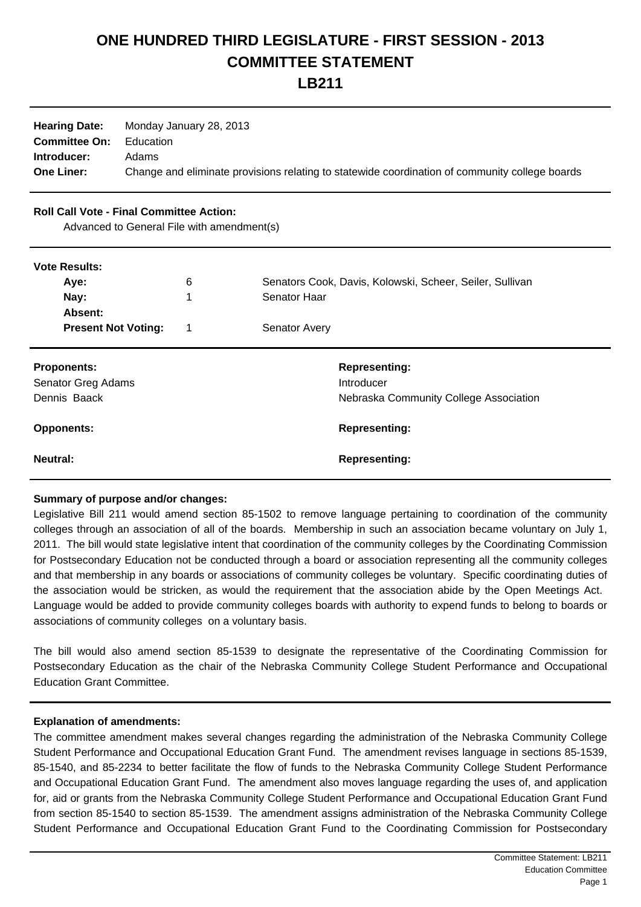## **ONE HUNDRED THIRD LEGISLATURE - FIRST SESSION - 2013 COMMITTEE STATEMENT**

**LB211**

| <b>Hearing Date:</b> | Monday January 28, 2013                                                                        |
|----------------------|------------------------------------------------------------------------------------------------|
| <b>Committee On:</b> | Education                                                                                      |
| Introducer:          | Adams                                                                                          |
| <b>One Liner:</b>    | Change and eliminate provisions relating to statewide coordination of community college boards |

## **Roll Call Vote - Final Committee Action:**

Advanced to General File with amendment(s)

| <b>Vote Results:</b><br>Aye:<br>Nay:<br>Absent:          | 6<br>1 | Senators Cook, Davis, Kolowski, Scheer, Seiler, Sullivan<br>Senator Haar     |
|----------------------------------------------------------|--------|------------------------------------------------------------------------------|
| <b>Present Not Voting:</b>                               | 1      | <b>Senator Avery</b>                                                         |
| <b>Proponents:</b><br>Senator Greg Adams<br>Dennis Baack |        | <b>Representing:</b><br>Introducer<br>Nebraska Community College Association |
| <b>Opponents:</b>                                        |        | <b>Representing:</b>                                                         |
| Neutral:                                                 |        | <b>Representing:</b>                                                         |

## **Summary of purpose and/or changes:**

Legislative Bill 211 would amend section 85-1502 to remove language pertaining to coordination of the community colleges through an association of all of the boards. Membership in such an association became voluntary on July 1, 2011. The bill would state legislative intent that coordination of the community colleges by the Coordinating Commission for Postsecondary Education not be conducted through a board or association representing all the community colleges and that membership in any boards or associations of community colleges be voluntary. Specific coordinating duties of the association would be stricken, as would the requirement that the association abide by the Open Meetings Act. Language would be added to provide community colleges boards with authority to expend funds to belong to boards or associations of community colleges on a voluntary basis.

The bill would also amend section 85-1539 to designate the representative of the Coordinating Commission for Postsecondary Education as the chair of the Nebraska Community College Student Performance and Occupational Education Grant Committee.

## **Explanation of amendments:**

The committee amendment makes several changes regarding the administration of the Nebraska Community College Student Performance and Occupational Education Grant Fund. The amendment revises language in sections 85-1539, 85-1540, and 85-2234 to better facilitate the flow of funds to the Nebraska Community College Student Performance and Occupational Education Grant Fund. The amendment also moves language regarding the uses of, and application for, aid or grants from the Nebraska Community College Student Performance and Occupational Education Grant Fund from section 85-1540 to section 85-1539. The amendment assigns administration of the Nebraska Community College Student Performance and Occupational Education Grant Fund to the Coordinating Commission for Postsecondary